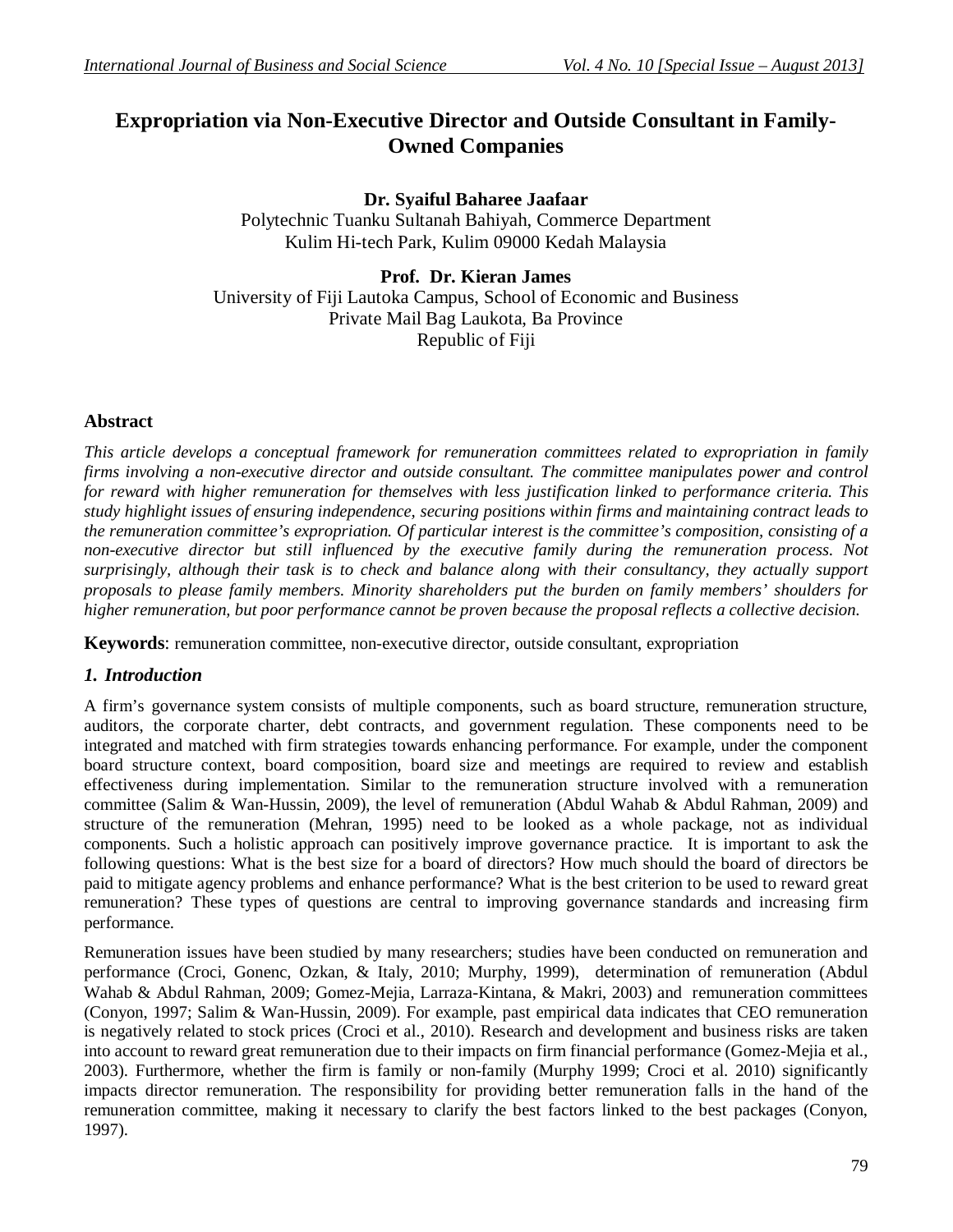# **Expropriation via Non-Executive Director and Outside Consultant in Family-Owned Companies**

**Dr. Syaiful Baharee Jaafaar** Polytechnic Tuanku Sultanah Bahiyah, Commerce Department Kulim Hi-tech Park, Kulim 09000 Kedah Malaysia

**Prof. Dr. Kieran James** University of Fiji Lautoka Campus, School of Economic and Business Private Mail Bag Laukota, Ba Province Republic of Fiji

# **Abstract**

*This article develops a conceptual framework for remuneration committees related to expropriation in family firms involving a non-executive director and outside consultant. The committee manipulates power and control for reward with higher remuneration for themselves with less justification linked to performance criteria. This study highlight issues of ensuring independence, securing positions within firms and maintaining contract leads to the remuneration committee's expropriation. Of particular interest is the committee's composition, consisting of a non-executive director but still influenced by the executive family during the remuneration process. Not surprisingly, although their task is to check and balance along with their consultancy, they actually support proposals to please family members. Minority shareholders put the burden on family members' shoulders for higher remuneration, but poor performance cannot be proven because the proposal reflects a collective decision.* 

**Keywords**: remuneration committee, non-executive director, outside consultant, expropriation

### *1. Introduction*

A firm's governance system consists of multiple components, such as board structure, remuneration structure, auditors, the corporate charter, debt contracts, and government regulation. These components need to be integrated and matched with firm strategies towards enhancing performance. For example, under the component board structure context, board composition, board size and meetings are required to review and establish effectiveness during implementation. Similar to the remuneration structure involved with a remuneration committee (Salim & Wan-Hussin, 2009), the level of remuneration (Abdul Wahab & Abdul Rahman, 2009) and structure of the remuneration (Mehran, 1995) need to be looked as a whole package, not as individual components. Such a holistic approach can positively improve governance practice. It is important to ask the following questions: What is the best size for a board of directors? How much should the board of directors be paid to mitigate agency problems and enhance performance? What is the best criterion to be used to reward great remuneration? These types of questions are central to improving governance standards and increasing firm performance.

Remuneration issues have been studied by many researchers; studies have been conducted on remuneration and performance (Croci, Gonenc, Ozkan, & Italy, 2010; Murphy, 1999), determination of remuneration (Abdul Wahab & Abdul Rahman, 2009; Gomez-Mejia, Larraza-Kintana, & Makri, 2003) and remuneration committees (Conyon, 1997; Salim & Wan-Hussin, 2009). For example, past empirical data indicates that CEO remuneration is negatively related to stock prices (Croci et al., 2010). Research and development and business risks are taken into account to reward great remuneration due to their impacts on firm financial performance (Gomez-Mejia et al., 2003). Furthermore, whether the firm is family or non-family (Murphy 1999; Croci et al. 2010) significantly impacts director remuneration. The responsibility for providing better remuneration falls in the hand of the remuneration committee, making it necessary to clarify the best factors linked to the best packages (Conyon, 1997).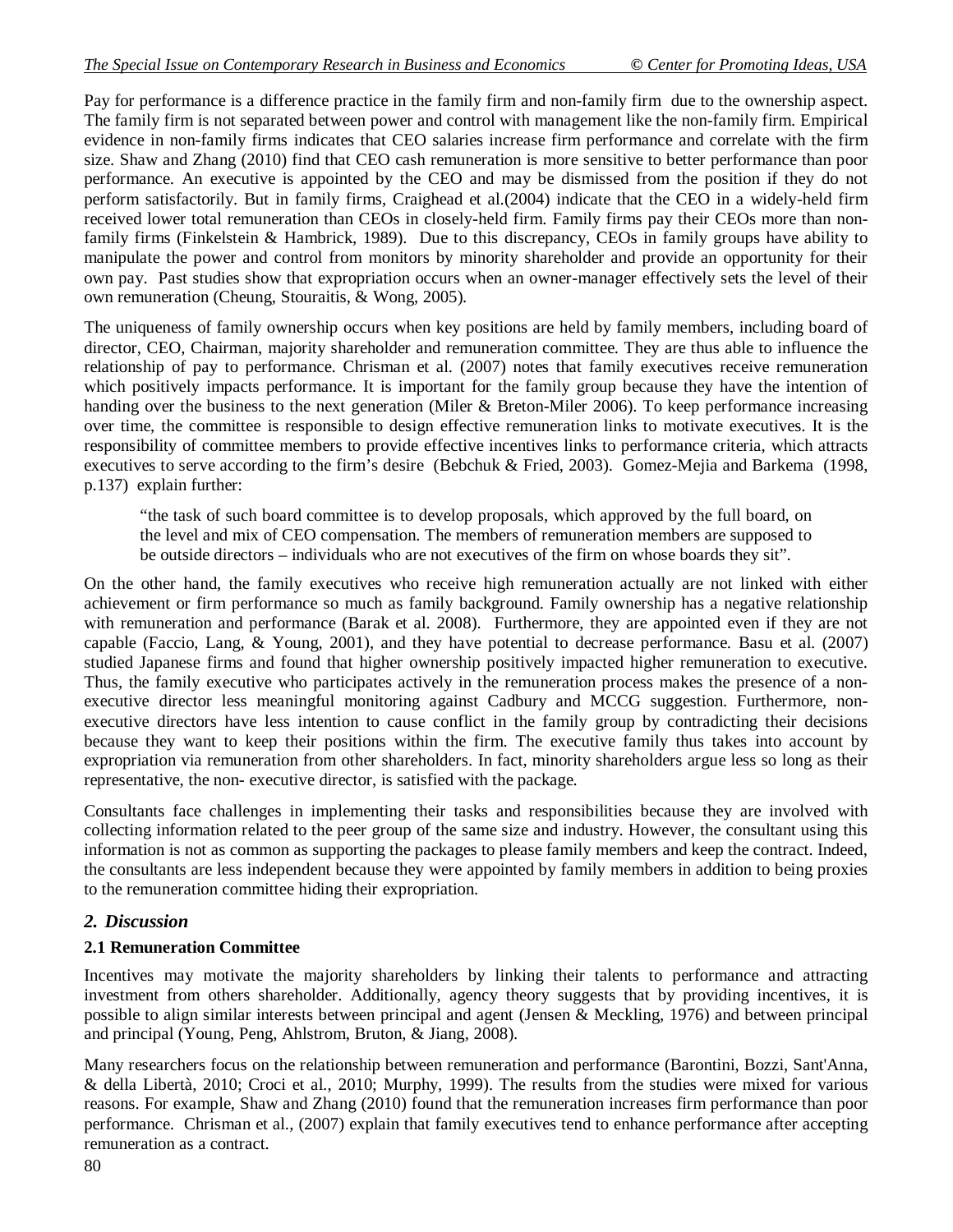Pay for performance is a difference practice in the family firm and non-family firm due to the ownership aspect. The family firm is not separated between power and control with management like the non-family firm. Empirical evidence in non-family firms indicates that CEO salaries increase firm performance and correlate with the firm size. Shaw and Zhang (2010) find that CEO cash remuneration is more sensitive to better performance than poor performance. An executive is appointed by the CEO and may be dismissed from the position if they do not perform satisfactorily. But in family firms, Craighead et al.(2004) indicate that the CEO in a widely-held firm received lower total remuneration than CEOs in closely-held firm. Family firms pay their CEOs more than nonfamily firms (Finkelstein & Hambrick, 1989). Due to this discrepancy, CEOs in family groups have ability to manipulate the power and control from monitors by minority shareholder and provide an opportunity for their own pay. Past studies show that expropriation occurs when an owner-manager effectively sets the level of their own remuneration (Cheung, Stouraitis, & Wong, 2005).

The uniqueness of family ownership occurs when key positions are held by family members, including board of director, CEO, Chairman, majority shareholder and remuneration committee. They are thus able to influence the relationship of pay to performance. Chrisman et al. (2007) notes that family executives receive remuneration which positively impacts performance. It is important for the family group because they have the intention of handing over the business to the next generation (Miler & Breton-Miler 2006). To keep performance increasing over time, the committee is responsible to design effective remuneration links to motivate executives. It is the responsibility of committee members to provide effective incentives links to performance criteria, which attracts executives to serve according to the firm's desire (Bebchuk & Fried, 2003). Gomez-Mejia and Barkema (1998, p.137) explain further:

"the task of such board committee is to develop proposals, which approved by the full board, on the level and mix of CEO compensation. The members of remuneration members are supposed to be outside directors – individuals who are not executives of the firm on whose boards they sit".

On the other hand, the family executives who receive high remuneration actually are not linked with either achievement or firm performance so much as family background. Family ownership has a negative relationship with remuneration and performance (Barak et al. 2008). Furthermore, they are appointed even if they are not capable (Faccio, Lang, & Young, 2001), and they have potential to decrease performance. Basu et al. (2007) studied Japanese firms and found that higher ownership positively impacted higher remuneration to executive. Thus, the family executive who participates actively in the remuneration process makes the presence of a nonexecutive director less meaningful monitoring against Cadbury and MCCG suggestion. Furthermore, nonexecutive directors have less intention to cause conflict in the family group by contradicting their decisions because they want to keep their positions within the firm. The executive family thus takes into account by expropriation via remuneration from other shareholders. In fact, minority shareholders argue less so long as their representative, the non- executive director, is satisfied with the package.

Consultants face challenges in implementing their tasks and responsibilities because they are involved with collecting information related to the peer group of the same size and industry. However, the consultant using this information is not as common as supporting the packages to please family members and keep the contract. Indeed, the consultants are less independent because they were appointed by family members in addition to being proxies to the remuneration committee hiding their expropriation.

### *2. Discussion*

### **2.1 Remuneration Committee**

Incentives may motivate the majority shareholders by linking their talents to performance and attracting investment from others shareholder. Additionally, agency theory suggests that by providing incentives, it is possible to align similar interests between principal and agent (Jensen & Meckling, 1976) and between principal and principal (Young, Peng, Ahlstrom, Bruton, & Jiang, 2008).

Many researchers focus on the relationship between remuneration and performance (Barontini, Bozzi, Sant'Anna, & della Libertà, 2010; Croci et al., 2010; Murphy, 1999). The results from the studies were mixed for various reasons. For example, Shaw and Zhang (2010) found that the remuneration increases firm performance than poor performance. Chrisman et al., (2007) explain that family executives tend to enhance performance after accepting remuneration as a contract.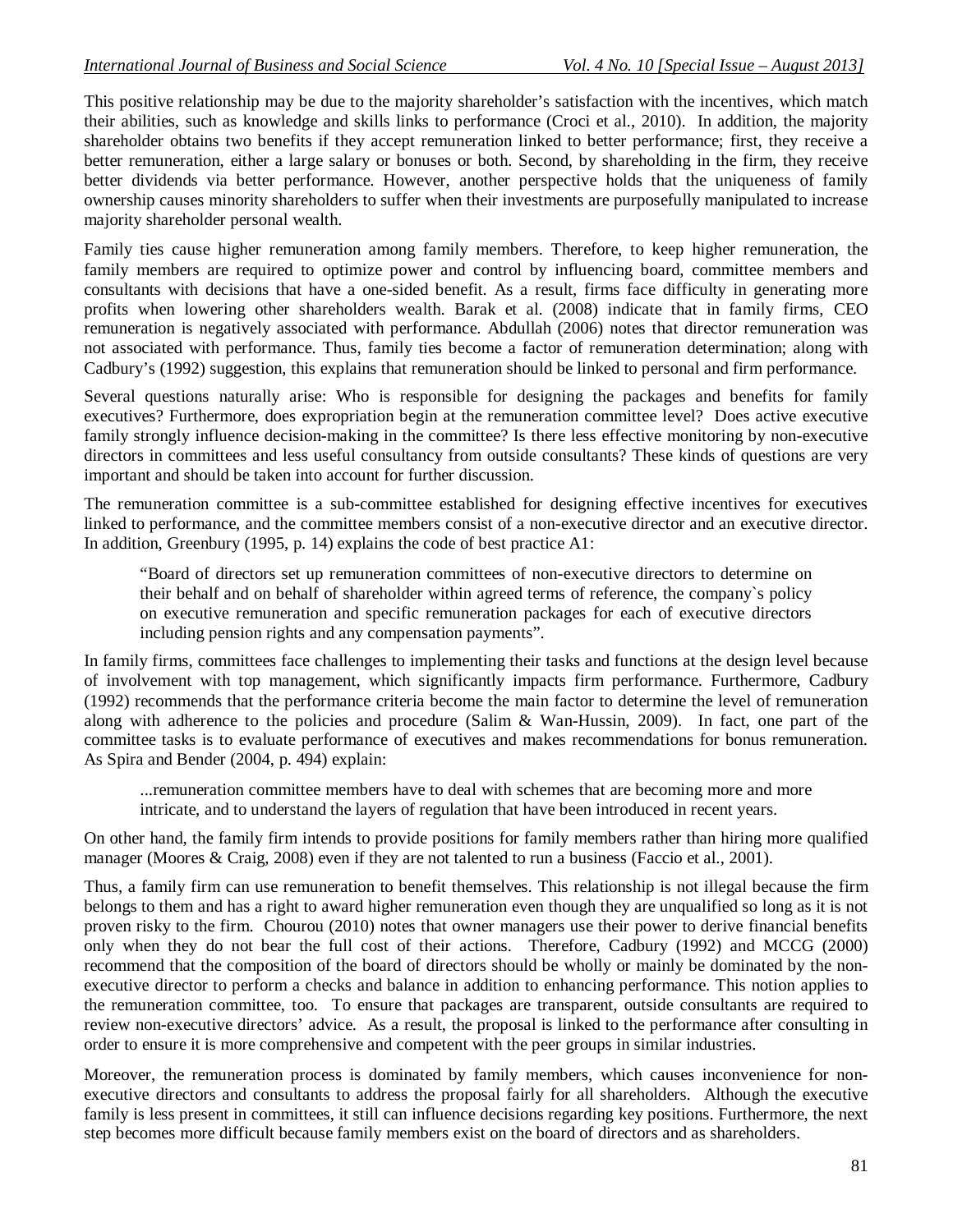This positive relationship may be due to the majority shareholder's satisfaction with the incentives, which match their abilities, such as knowledge and skills links to performance (Croci et al., 2010). In addition, the majority shareholder obtains two benefits if they accept remuneration linked to better performance; first, they receive a better remuneration, either a large salary or bonuses or both. Second, by shareholding in the firm, they receive better dividends via better performance. However, another perspective holds that the uniqueness of family ownership causes minority shareholders to suffer when their investments are purposefully manipulated to increase majority shareholder personal wealth.

Family ties cause higher remuneration among family members. Therefore, to keep higher remuneration, the family members are required to optimize power and control by influencing board, committee members and consultants with decisions that have a one-sided benefit. As a result, firms face difficulty in generating more profits when lowering other shareholders wealth. Barak et al. (2008) indicate that in family firms, CEO remuneration is negatively associated with performance. Abdullah (2006) notes that director remuneration was not associated with performance. Thus, family ties become a factor of remuneration determination; along with Cadbury's (1992) suggestion, this explains that remuneration should be linked to personal and firm performance.

Several questions naturally arise: Who is responsible for designing the packages and benefits for family executives? Furthermore, does expropriation begin at the remuneration committee level? Does active executive family strongly influence decision-making in the committee? Is there less effective monitoring by non-executive directors in committees and less useful consultancy from outside consultants? These kinds of questions are very important and should be taken into account for further discussion.

The remuneration committee is a sub-committee established for designing effective incentives for executives linked to performance, and the committee members consist of a non-executive director and an executive director. In addition, Greenbury (1995, p. 14) explains the code of best practice A1:

"Board of directors set up remuneration committees of non-executive directors to determine on their behalf and on behalf of shareholder within agreed terms of reference, the company`s policy on executive remuneration and specific remuneration packages for each of executive directors including pension rights and any compensation payments".

In family firms, committees face challenges to implementing their tasks and functions at the design level because of involvement with top management, which significantly impacts firm performance. Furthermore, Cadbury (1992) recommends that the performance criteria become the main factor to determine the level of remuneration along with adherence to the policies and procedure (Salim & Wan-Hussin, 2009). In fact, one part of the committee tasks is to evaluate performance of executives and makes recommendations for bonus remuneration. As Spira and Bender (2004, p. 494) explain:

...remuneration committee members have to deal with schemes that are becoming more and more intricate, and to understand the layers of regulation that have been introduced in recent years.

On other hand, the family firm intends to provide positions for family members rather than hiring more qualified manager (Moores & Craig, 2008) even if they are not talented to run a business (Faccio et al., 2001).

Thus, a family firm can use remuneration to benefit themselves. This relationship is not illegal because the firm belongs to them and has a right to award higher remuneration even though they are unqualified so long as it is not proven risky to the firm. Chourou (2010) notes that owner managers use their power to derive financial benefits only when they do not bear the full cost of their actions. Therefore, Cadbury (1992) and MCCG (2000) recommend that the composition of the board of directors should be wholly or mainly be dominated by the nonexecutive director to perform a checks and balance in addition to enhancing performance. This notion applies to the remuneration committee, too. To ensure that packages are transparent, outside consultants are required to review non-executive directors' advice. As a result, the proposal is linked to the performance after consulting in order to ensure it is more comprehensive and competent with the peer groups in similar industries.

Moreover, the remuneration process is dominated by family members, which causes inconvenience for nonexecutive directors and consultants to address the proposal fairly for all shareholders. Although the executive family is less present in committees, it still can influence decisions regarding key positions. Furthermore, the next step becomes more difficult because family members exist on the board of directors and as shareholders.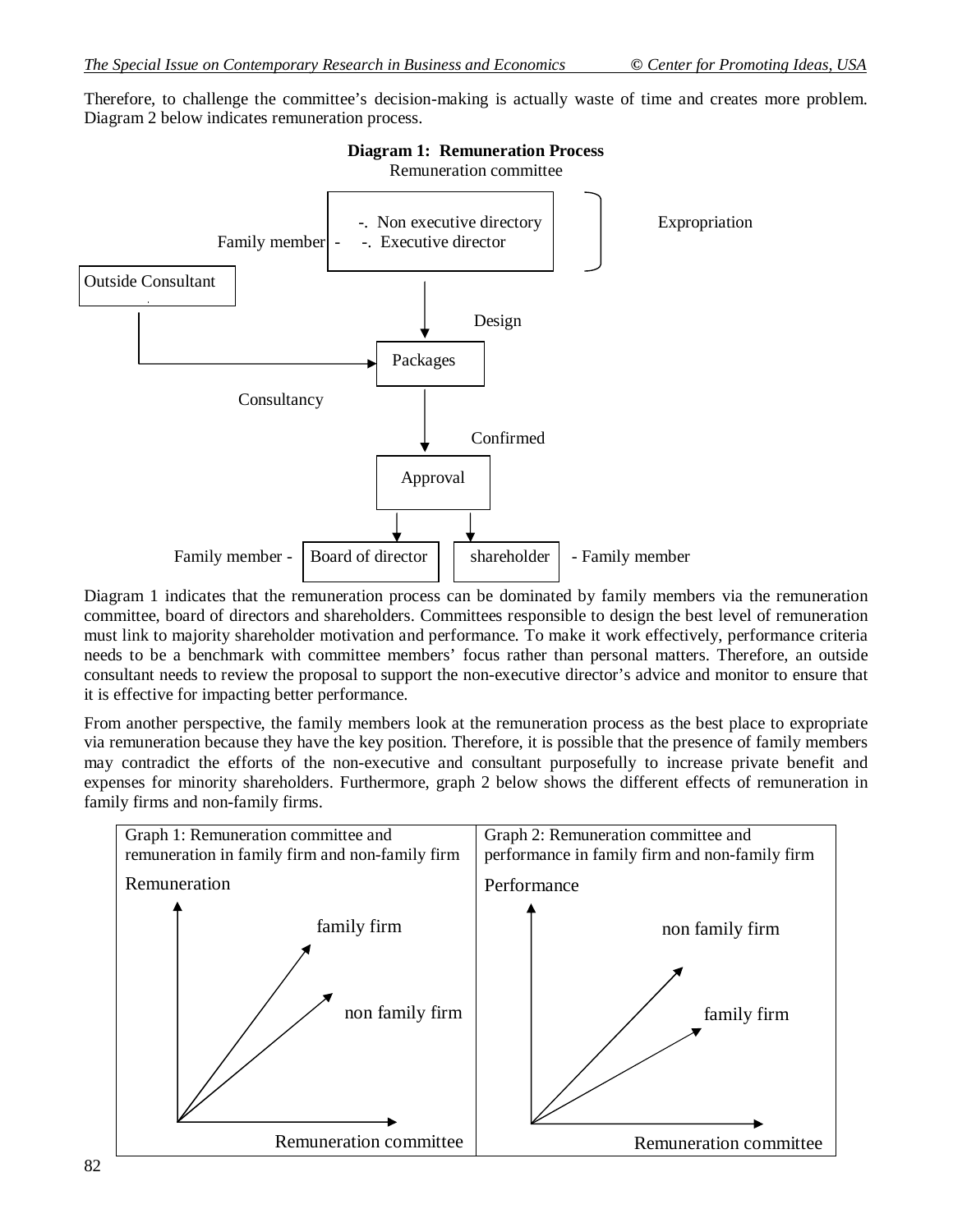Therefore, to challenge the committee's decision-making is actually waste of time and creates more problem. Diagram 2 below indicates remuneration process.



Diagram 1 indicates that the remuneration process can be dominated by family members via the remuneration committee, board of directors and shareholders. Committees responsible to design the best level of remuneration must link to majority shareholder motivation and performance. To make it work effectively, performance criteria needs to be a benchmark with committee members' focus rather than personal matters. Therefore, an outside consultant needs to review the proposal to support the non-executive director's advice and monitor to ensure that it is effective for impacting better performance.

From another perspective, the family members look at the remuneration process as the best place to expropriate via remuneration because they have the key position. Therefore, it is possible that the presence of family members may contradict the efforts of the non-executive and consultant purposefully to increase private benefit and expenses for minority shareholders. Furthermore, graph 2 below shows the different effects of remuneration in family firms and non-family firms.

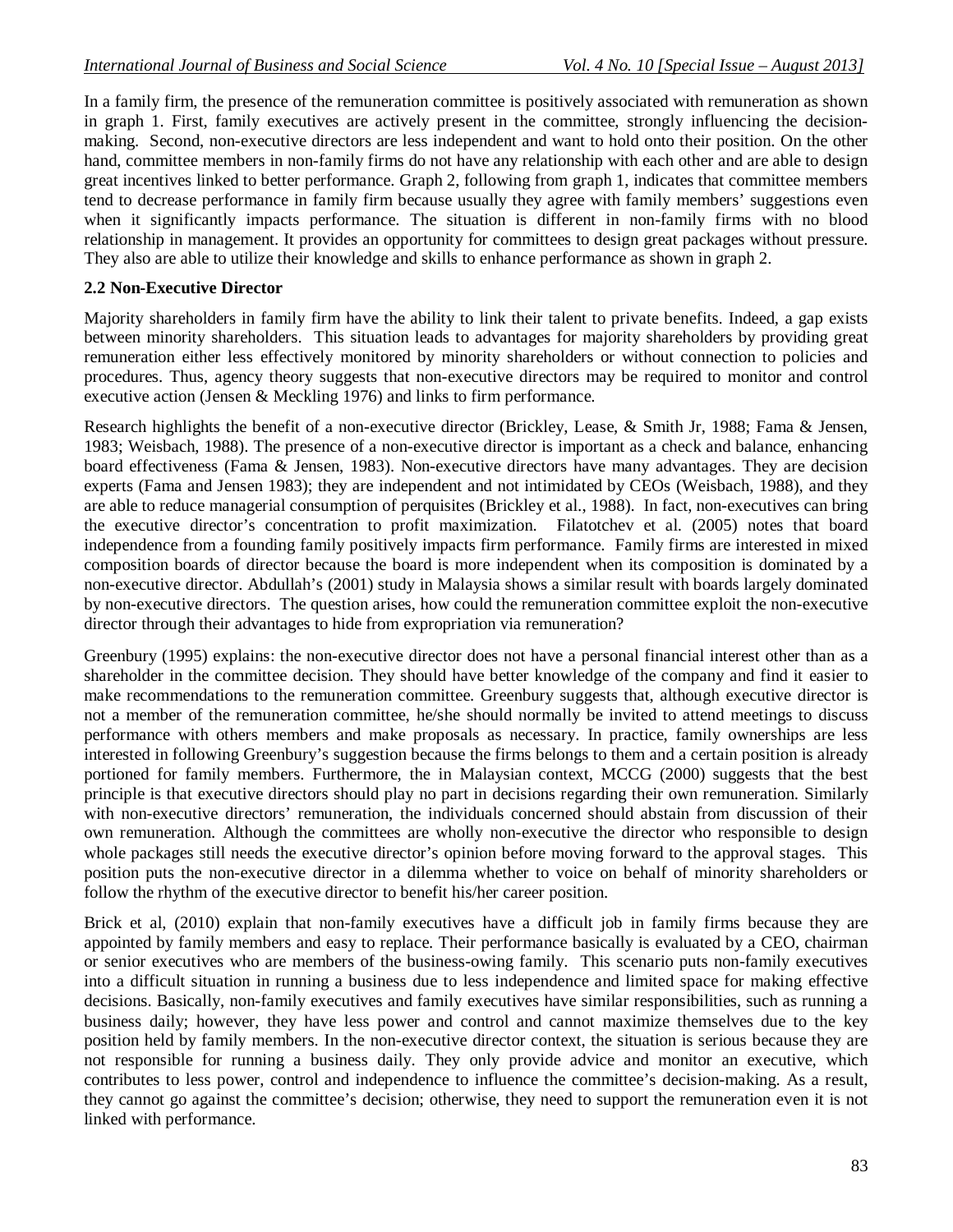In a family firm, the presence of the remuneration committee is positively associated with remuneration as shown in graph 1. First, family executives are actively present in the committee, strongly influencing the decisionmaking. Second, non-executive directors are less independent and want to hold onto their position. On the other hand, committee members in non-family firms do not have any relationship with each other and are able to design great incentives linked to better performance. Graph 2, following from graph 1, indicates that committee members tend to decrease performance in family firm because usually they agree with family members' suggestions even when it significantly impacts performance. The situation is different in non-family firms with no blood relationship in management. It provides an opportunity for committees to design great packages without pressure. They also are able to utilize their knowledge and skills to enhance performance as shown in graph 2.

#### **2.2 Non-Executive Director**

Majority shareholders in family firm have the ability to link their talent to private benefits. Indeed, a gap exists between minority shareholders. This situation leads to advantages for majority shareholders by providing great remuneration either less effectively monitored by minority shareholders or without connection to policies and procedures. Thus, agency theory suggests that non-executive directors may be required to monitor and control executive action (Jensen & Meckling 1976) and links to firm performance.

Research highlights the benefit of a non-executive director (Brickley, Lease, & Smith Jr, 1988; Fama & Jensen, 1983; Weisbach, 1988). The presence of a non-executive director is important as a check and balance, enhancing board effectiveness (Fama & Jensen, 1983). Non-executive directors have many advantages. They are decision experts (Fama and Jensen 1983); they are independent and not intimidated by CEOs (Weisbach, 1988), and they are able to reduce managerial consumption of perquisites (Brickley et al., 1988). In fact, non-executives can bring the executive director's concentration to profit maximization. Filatotchev et al. (2005) notes that board independence from a founding family positively impacts firm performance. Family firms are interested in mixed composition boards of director because the board is more independent when its composition is dominated by a non-executive director. Abdullah's (2001) study in Malaysia shows a similar result with boards largely dominated by non-executive directors. The question arises, how could the remuneration committee exploit the non-executive director through their advantages to hide from expropriation via remuneration?

Greenbury (1995) explains: the non-executive director does not have a personal financial interest other than as a shareholder in the committee decision. They should have better knowledge of the company and find it easier to make recommendations to the remuneration committee. Greenbury suggests that, although executive director is not a member of the remuneration committee, he/she should normally be invited to attend meetings to discuss performance with others members and make proposals as necessary. In practice, family ownerships are less interested in following Greenbury's suggestion because the firms belongs to them and a certain position is already portioned for family members. Furthermore, the in Malaysian context, MCCG (2000) suggests that the best principle is that executive directors should play no part in decisions regarding their own remuneration. Similarly with non-executive directors' remuneration, the individuals concerned should abstain from discussion of their own remuneration. Although the committees are wholly non-executive the director who responsible to design whole packages still needs the executive director's opinion before moving forward to the approval stages. This position puts the non-executive director in a dilemma whether to voice on behalf of minority shareholders or follow the rhythm of the executive director to benefit his/her career position.

Brick et al, (2010) explain that non-family executives have a difficult job in family firms because they are appointed by family members and easy to replace. Their performance basically is evaluated by a CEO, chairman or senior executives who are members of the business-owing family. This scenario puts non-family executives into a difficult situation in running a business due to less independence and limited space for making effective decisions. Basically, non-family executives and family executives have similar responsibilities, such as running a business daily; however, they have less power and control and cannot maximize themselves due to the key position held by family members. In the non-executive director context, the situation is serious because they are not responsible for running a business daily. They only provide advice and monitor an executive, which contributes to less power, control and independence to influence the committee's decision-making. As a result, they cannot go against the committee's decision; otherwise, they need to support the remuneration even it is not linked with performance.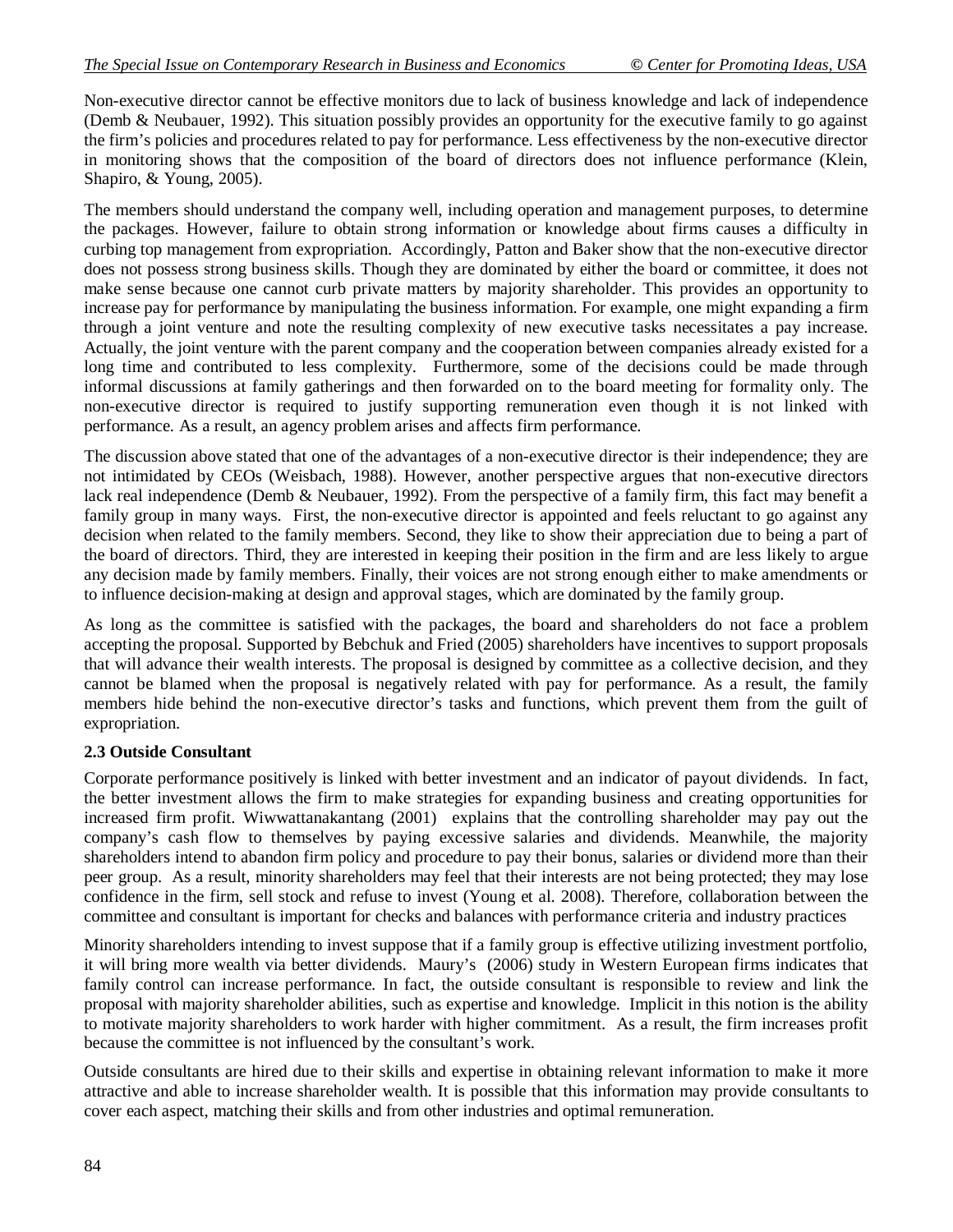Non-executive director cannot be effective monitors due to lack of business knowledge and lack of independence (Demb & Neubauer, 1992). This situation possibly provides an opportunity for the executive family to go against the firm's policies and procedures related to pay for performance. Less effectiveness by the non-executive director in monitoring shows that the composition of the board of directors does not influence performance (Klein, Shapiro, & Young, 2005).

The members should understand the company well, including operation and management purposes, to determine the packages. However, failure to obtain strong information or knowledge about firms causes a difficulty in curbing top management from expropriation. Accordingly, Patton and Baker show that the non-executive director does not possess strong business skills. Though they are dominated by either the board or committee, it does not make sense because one cannot curb private matters by majority shareholder. This provides an opportunity to increase pay for performance by manipulating the business information. For example, one might expanding a firm through a joint venture and note the resulting complexity of new executive tasks necessitates a pay increase. Actually, the joint venture with the parent company and the cooperation between companies already existed for a long time and contributed to less complexity. Furthermore, some of the decisions could be made through informal discussions at family gatherings and then forwarded on to the board meeting for formality only. The non-executive director is required to justify supporting remuneration even though it is not linked with performance. As a result, an agency problem arises and affects firm performance.

The discussion above stated that one of the advantages of a non-executive director is their independence; they are not intimidated by CEOs (Weisbach, 1988). However, another perspective argues that non-executive directors lack real independence (Demb & Neubauer, 1992). From the perspective of a family firm, this fact may benefit a family group in many ways. First, the non-executive director is appointed and feels reluctant to go against any decision when related to the family members. Second, they like to show their appreciation due to being a part of the board of directors. Third, they are interested in keeping their position in the firm and are less likely to argue any decision made by family members. Finally, their voices are not strong enough either to make amendments or to influence decision-making at design and approval stages, which are dominated by the family group.

As long as the committee is satisfied with the packages, the board and shareholders do not face a problem accepting the proposal. Supported by Bebchuk and Fried (2005) shareholders have incentives to support proposals that will advance their wealth interests. The proposal is designed by committee as a collective decision, and they cannot be blamed when the proposal is negatively related with pay for performance. As a result, the family members hide behind the non-executive director's tasks and functions, which prevent them from the guilt of expropriation.

### **2.3 Outside Consultant**

Corporate performance positively is linked with better investment and an indicator of payout dividends. In fact, the better investment allows the firm to make strategies for expanding business and creating opportunities for increased firm profit. Wiwwattanakantang (2001) explains that the controlling shareholder may pay out the company's cash flow to themselves by paying excessive salaries and dividends. Meanwhile, the majority shareholders intend to abandon firm policy and procedure to pay their bonus, salaries or dividend more than their peer group. As a result, minority shareholders may feel that their interests are not being protected; they may lose confidence in the firm, sell stock and refuse to invest (Young et al. 2008). Therefore, collaboration between the committee and consultant is important for checks and balances with performance criteria and industry practices

Minority shareholders intending to invest suppose that if a family group is effective utilizing investment portfolio, it will bring more wealth via better dividends. Maury's (2006) study in Western European firms indicates that family control can increase performance. In fact, the outside consultant is responsible to review and link the proposal with majority shareholder abilities, such as expertise and knowledge. Implicit in this notion is the ability to motivate majority shareholders to work harder with higher commitment. As a result, the firm increases profit because the committee is not influenced by the consultant's work.

Outside consultants are hired due to their skills and expertise in obtaining relevant information to make it more attractive and able to increase shareholder wealth. It is possible that this information may provide consultants to cover each aspect, matching their skills and from other industries and optimal remuneration.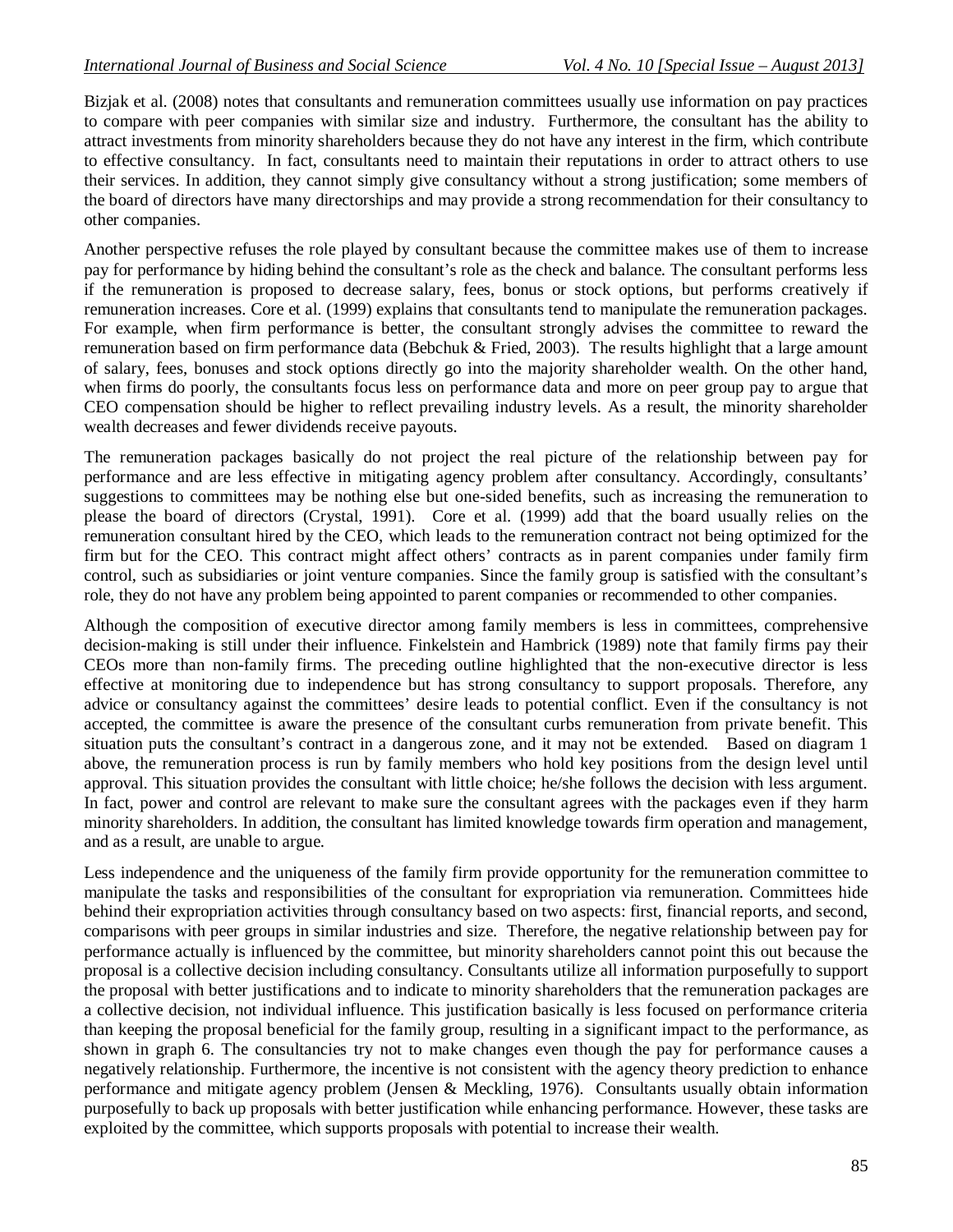Bizjak et al. (2008) notes that consultants and remuneration committees usually use information on pay practices to compare with peer companies with similar size and industry. Furthermore, the consultant has the ability to attract investments from minority shareholders because they do not have any interest in the firm, which contribute to effective consultancy. In fact, consultants need to maintain their reputations in order to attract others to use their services. In addition, they cannot simply give consultancy without a strong justification; some members of the board of directors have many directorships and may provide a strong recommendation for their consultancy to other companies.

Another perspective refuses the role played by consultant because the committee makes use of them to increase pay for performance by hiding behind the consultant's role as the check and balance. The consultant performs less if the remuneration is proposed to decrease salary, fees, bonus or stock options, but performs creatively if remuneration increases. Core et al. (1999) explains that consultants tend to manipulate the remuneration packages. For example, when firm performance is better, the consultant strongly advises the committee to reward the remuneration based on firm performance data (Bebchuk & Fried, 2003). The results highlight that a large amount of salary, fees, bonuses and stock options directly go into the majority shareholder wealth. On the other hand, when firms do poorly, the consultants focus less on performance data and more on peer group pay to argue that CEO compensation should be higher to reflect prevailing industry levels. As a result, the minority shareholder wealth decreases and fewer dividends receive payouts.

The remuneration packages basically do not project the real picture of the relationship between pay for performance and are less effective in mitigating agency problem after consultancy. Accordingly, consultants' suggestions to committees may be nothing else but one-sided benefits, such as increasing the remuneration to please the board of directors (Crystal, 1991). Core et al. (1999) add that the board usually relies on the remuneration consultant hired by the CEO, which leads to the remuneration contract not being optimized for the firm but for the CEO. This contract might affect others' contracts as in parent companies under family firm control, such as subsidiaries or joint venture companies. Since the family group is satisfied with the consultant's role, they do not have any problem being appointed to parent companies or recommended to other companies.

Although the composition of executive director among family members is less in committees, comprehensive decision-making is still under their influence. Finkelstein and Hambrick (1989) note that family firms pay their CEOs more than non-family firms. The preceding outline highlighted that the non-executive director is less effective at monitoring due to independence but has strong consultancy to support proposals. Therefore, any advice or consultancy against the committees' desire leads to potential conflict. Even if the consultancy is not accepted, the committee is aware the presence of the consultant curbs remuneration from private benefit. This situation puts the consultant's contract in a dangerous zone, and it may not be extended. Based on diagram 1 above, the remuneration process is run by family members who hold key positions from the design level until approval. This situation provides the consultant with little choice; he/she follows the decision with less argument. In fact, power and control are relevant to make sure the consultant agrees with the packages even if they harm minority shareholders. In addition, the consultant has limited knowledge towards firm operation and management, and as a result, are unable to argue.

Less independence and the uniqueness of the family firm provide opportunity for the remuneration committee to manipulate the tasks and responsibilities of the consultant for expropriation via remuneration. Committees hide behind their expropriation activities through consultancy based on two aspects: first, financial reports, and second, comparisons with peer groups in similar industries and size. Therefore, the negative relationship between pay for performance actually is influenced by the committee, but minority shareholders cannot point this out because the proposal is a collective decision including consultancy. Consultants utilize all information purposefully to support the proposal with better justifications and to indicate to minority shareholders that the remuneration packages are a collective decision, not individual influence. This justification basically is less focused on performance criteria than keeping the proposal beneficial for the family group, resulting in a significant impact to the performance, as shown in graph 6. The consultancies try not to make changes even though the pay for performance causes a negatively relationship. Furthermore, the incentive is not consistent with the agency theory prediction to enhance performance and mitigate agency problem (Jensen & Meckling, 1976). Consultants usually obtain information purposefully to back up proposals with better justification while enhancing performance. However, these tasks are exploited by the committee, which supports proposals with potential to increase their wealth.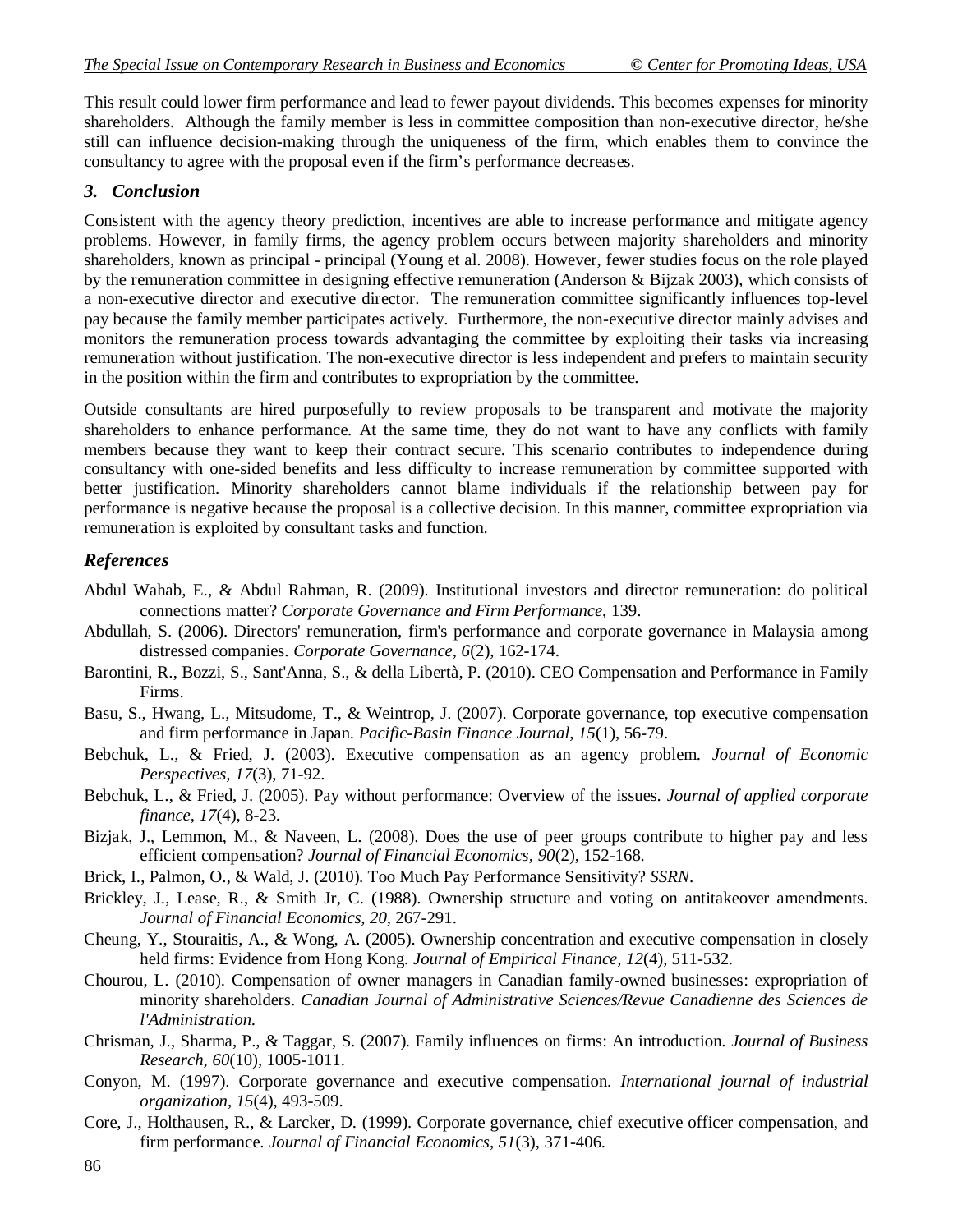This result could lower firm performance and lead to fewer payout dividends. This becomes expenses for minority shareholders. Although the family member is less in committee composition than non-executive director, he/she still can influence decision-making through the uniqueness of the firm, which enables them to convince the consultancy to agree with the proposal even if the firm's performance decreases.

# *3. Conclusion*

Consistent with the agency theory prediction, incentives are able to increase performance and mitigate agency problems. However, in family firms, the agency problem occurs between majority shareholders and minority shareholders, known as principal - principal (Young et al. 2008). However, fewer studies focus on the role played by the remuneration committee in designing effective remuneration (Anderson & Bijzak 2003), which consists of a non-executive director and executive director. The remuneration committee significantly influences top-level pay because the family member participates actively. Furthermore, the non-executive director mainly advises and monitors the remuneration process towards advantaging the committee by exploiting their tasks via increasing remuneration without justification. The non-executive director is less independent and prefers to maintain security in the position within the firm and contributes to expropriation by the committee.

Outside consultants are hired purposefully to review proposals to be transparent and motivate the majority shareholders to enhance performance. At the same time, they do not want to have any conflicts with family members because they want to keep their contract secure. This scenario contributes to independence during consultancy with one-sided benefits and less difficulty to increase remuneration by committee supported with better justification. Minority shareholders cannot blame individuals if the relationship between pay for performance is negative because the proposal is a collective decision. In this manner, committee expropriation via remuneration is exploited by consultant tasks and function.

# *References*

- Abdul Wahab, E., & Abdul Rahman, R. (2009). Institutional investors and director remuneration: do political connections matter? *Corporate Governance and Firm Performance*, 139.
- Abdullah, S. (2006). Directors' remuneration, firm's performance and corporate governance in Malaysia among distressed companies. *Corporate Governance, 6*(2), 162-174.
- Barontini, R., Bozzi, S., Sant'Anna, S., & della Libertà, P. (2010). CEO Compensation and Performance in Family Firms.
- Basu, S., Hwang, L., Mitsudome, T., & Weintrop, J. (2007). Corporate governance, top executive compensation and firm performance in Japan. *Pacific-Basin Finance Journal, 15*(1), 56-79.
- Bebchuk, L., & Fried, J. (2003). Executive compensation as an agency problem. *Journal of Economic Perspectives, 17*(3), 71-92.
- Bebchuk, L., & Fried, J. (2005). Pay without performance: Overview of the issues. *Journal of applied corporate finance, 17*(4), 8-23.
- Bizjak, J., Lemmon, M., & Naveen, L. (2008). Does the use of peer groups contribute to higher pay and less efficient compensation? *Journal of Financial Economics, 90*(2), 152-168.
- Brick, I., Palmon, O., & Wald, J. (2010). Too Much Pay Performance Sensitivity? *SSRN*.
- Brickley, J., Lease, R., & Smith Jr, C. (1988). Ownership structure and voting on antitakeover amendments. *Journal of Financial Economics, 20*, 267-291.
- Cheung, Y., Stouraitis, A., & Wong, A. (2005). Ownership concentration and executive compensation in closely held firms: Evidence from Hong Kong. *Journal of Empirical Finance, 12*(4), 511-532.
- Chourou, L. (2010). Compensation of owner managers in Canadian family-owned businesses: expropriation of minority shareholders. *Canadian Journal of Administrative Sciences/Revue Canadienne des Sciences de l'Administration*.
- Chrisman, J., Sharma, P., & Taggar, S. (2007). Family influences on firms: An introduction. *Journal of Business Research, 60*(10), 1005-1011.
- Conyon, M. (1997). Corporate governance and executive compensation. *International journal of industrial organization, 15*(4), 493-509.
- Core, J., Holthausen, R., & Larcker, D. (1999). Corporate governance, chief executive officer compensation, and firm performance. *Journal of Financial Economics, 51*(3), 371-406.